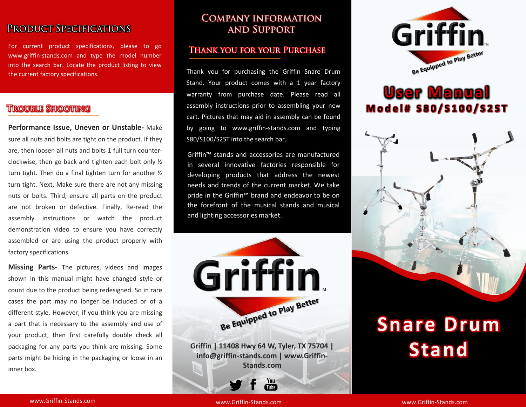# PRODUCT SPECIFICATIONS

For current product specifications, please to go www.griffin-stands.com and type the model number into the search bar. Locate the product listing to view the current factory specifications.

### **TROUBLE SHOOTING**

**Performance Issue, Uneven or Unstable-** Make sure all nuts and bolts are tight on the product. If they are, then loosen all nuts and bolts 1 full turn counterclockwise, then go back and tighten each bolt only ½ turn tight. Then do a final tighten turn for another ½ turn tight. Next, Make sure there are not any missing nuts or bolts. Third, ensure all parts on the product are not broken or defective. Finally, Re-read the assembly instructions or watch the product demonstration video to ensure you have correctly assembled or are using the product properly with factory specifications.

**Missing Parts-** The pictures, videos and images shown in this manual might have changed style or count due to the product being redesigned. So in rare cases the part may no longer be included or of a different style. However, if you think you are missing a part that is necessary to the assembly and use of your product, then first carefully double check all packaging for any parts you think are missing. Some parts might be hiding in the packaging or loose in an inner box.

### **COMPANY INFORMATION AND SUPPORT**

#### **THANK YOU FOR YOUR PURCHASE**

Thank you for purchasing the Griffin Snare Drum Stand. Your product comes with a 1 year factory warranty from purchase date. Please read all assembly instructions prior to assembling your new cart. Pictures that may aid in assembly can be found by going to www.griffin-stands.com and typing S80/S100/S2ST into the search bar.

Griffin™ stands and accessories are manufactured in several innovative factories responsible for developing products that address the newest needs and trends of the current market. We take pride in the Griffin™ brand and endeavor to be on the forefront of the musical stands and musical and lighting accessories market.



Tube<sup>7</sup>



# **User Manual M o d e l # S 8 0 / S 1 0 0 / S 2 S T**



# **Snare Drum Stand**

www.Griffin-Stands.com and the stands of the stands.com stands.com stands.com stands.com

www.Griffin-Stands.com